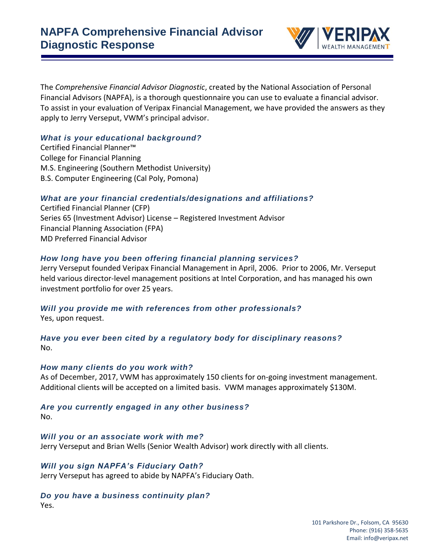

The *Comprehensive Financial Advisor Diagnostic*, created by the National Association of Personal Financial Advisors (NAPFA), is a thorough questionnaire you can use to evaluate a financial advisor. To assist in your evaluation of Veripax Financial Management, we have provided the answers as they apply to Jerry Verseput, VWM's principal advisor.

## *What is your educational background?*

Certified Financial Planner™ College for Financial Planning M.S. Engineering (Southern Methodist University) B.S. Computer Engineering (Cal Poly, Pomona)

# *What are your financial credentials/designations and affiliations?*

Certified Financial Planner (CFP) Series 65 (Investment Advisor) License – Registered Investment Advisor Financial Planning Association (FPA) MD Preferred Financial Advisor

## *How long have you been offering financial planning services?*

Jerry Verseput founded Veripax Financial Management in April, 2006. Prior to 2006, Mr. Verseput held various director-level management positions at Intel Corporation, and has managed his own investment portfolio for over 25 years.

# *Will you provide me with references from other professionals?*

Yes, upon request.

# *Have you ever been cited by a regulatory body for disciplinary reasons?* No.

#### *How many clients do you work with?*

As of December, 2017, VWM has approximately 150 clients for on-going investment management. Additional clients will be accepted on a limited basis. VWM manages approximately \$130M.

# *Are you currently engaged in any other business?*

No.

#### *Will you or an associate work with me?* Jerry Verseput and Brian Wells (Senior Wealth Advisor) work directly with all clients.

# *Will you sign NAPFA's Fiduciary Oath?*

Jerry Verseput has agreed to abide by NAPFA's Fiduciary Oath.

#### *Do you have a business continuity plan?*

Yes.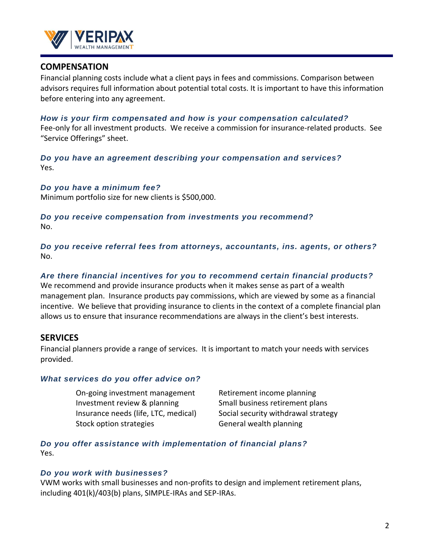

# **COMPENSATION**

Financial planning costs include what a client pays in fees and commissions. Comparison between advisors requires full information about potential total costs. It is important to have this information before entering into any agreement.

#### *How is your firm compensated and how is your compensation calculated?*

Fee-only for all investment products. We receive a commission for insurance-related products. See "Service Offerings" sheet.

*Do you have an agreement describing your compensation and services?* Yes.

*Do you have a minimum fee?*

Minimum portfolio size for new clients is \$500,000.

## *Do you receive compensation from investments you recommend?* No.

*Do you receive referral fees from attorneys, accountants, ins. agents, or others?* No.

## *Are there financial incentives for you to recommend certain financial products?*

We recommend and provide insurance products when it makes sense as part of a wealth management plan. Insurance products pay commissions, which are viewed by some as a financial incentive. We believe that providing insurance to clients in the context of a complete financial plan allows us to ensure that insurance recommendations are always in the client's best interests.

# **SERVICES**

Financial planners provide a range of services. It is important to match your needs with services provided.

# *What services do you offer advice on?*

On-going investment management Retirement income planning Investment review & planning Small business retirement plans Stock option strategies General wealth planning

Insurance needs (life, LTC, medical) Social security withdrawal strategy

*Do you offer assistance with implementation of financial plans?* Yes.

# *Do you work with businesses?*

VWM works with small businesses and non-profits to design and implement retirement plans, including 401(k)/403(b) plans, SIMPLE-IRAs and SEP-IRAs.